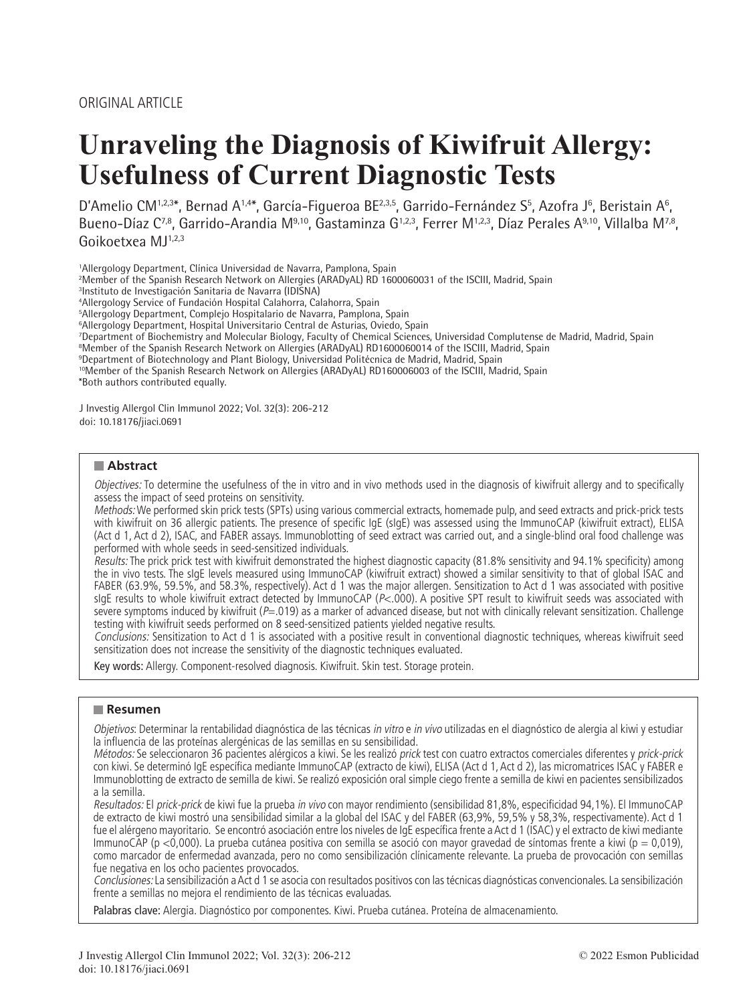# **Unraveling the Diagnosis of Kiwifruit Allergy: Usefulness of Current Diagnostic Tests**

D'Amelio CM<sup>1,2,3\*</sup>, Bernad A<sup>1,4\*</sup>, García-Figueroa BE<sup>2,3,5</sup>, Garrido-Fernández S<sup>5</sup>, Azofra J<sup>6</sup>, Beristain A<sup>6</sup>, Bueno-Díaz C<sup>7,8</sup>, Garrido-Arandia M<sup>9,10</sup>, Gastaminza G<sup>1,2,3</sup>, Ferrer M<sup>1,2,3</sup>, Díaz Perales A<sup>9,10</sup>, Villalba M<sup>7,8</sup>, Goikoetxea MJ1,2,3

1 Allergology Department, Clínica Universidad de Navarra, Pamplona, Spain

2 Member of the Spanish Research Network on Allergies (ARADyAL) RD 1600060031 of the ISCIII, Madrid, Spain

3 Instituto de Investigación Sanitaria de Navarra (IDISNA)

4 Allergology Service of Fundación Hospital Calahorra, Calahorra, Spain

5 Allergology Department, Complejo Hospitalario de Navarra, Pamplona, Spain

6 Allergology Department, Hospital Universitario Central de Asturias, Oviedo, Spain

<sup>7</sup>Department of Biochemistry and Molecular Biology, Faculty of Chemical Sciences, Universidad Complutense de Madrid, Madrid, Spain<br>®Member of the Spanish Research Network on Allergies (ARADvAL) RD1600060014 of the ISCIIL

<sup>8</sup>Member of the Spanish Research Network on Allergies (ARADyAL) RD1600060014 of the ISCIII, Madrid, Spain

9 Department of Biotechnology and Plant Biology, Universidad Politécnica de Madrid, Madrid, Spain

10Member of the Spanish Research Network on Allergies (ARADyAL) RD160006003 of the ISCIII, Madrid, Spain \*Both authors contributed equally.

J Investig Allergol Clin Immunol 2022; Vol. 32(3): 206-212 doi: 10.18176/jiaci.0691

## **Abstract**

Objectives: To determine the usefulness of the in vitro and in vivo methods used in the diagnosis of kiwifruit allergy and to specifically assess the impact of seed proteins on sensitivity.

Methods: We performed skin prick tests (SPTs) using various commercial extracts, homemade pulp, and seed extracts and prick-prick tests with kiwifruit on 36 allergic patients. The presence of specific IgE (sIgE) was assessed using the ImmunoCAP (kiwifruit extract), ELISA (Act d 1, Act d 2), ISAC, and FABER assays. Immunoblotting of seed extract was carried out, and a single-blind oral food challenge was performed with whole seeds in seed-sensitized individuals.

Results: The prick prick test with kiwifruit demonstrated the highest diagnostic capacity (81.8% sensitivity and 94.1% specificity) among the in vivo tests. The sIgE levels measured using ImmunoCAP (kiwifruit extract) showed a similar sensitivity to that of global ISAC and FABER (63.9%, 59.5%, and 58.3%, respectively). Act d 1 was the major allergen. Sensitization to Act d 1 was associated with positive sIgE results to whole kiwifruit extract detected by ImmunoCAP (P<.000). A positive SPT result to kiwifruit seeds was associated with severe symptoms induced by kiwifruit ( $P=019$ ) as a marker of advanced disease, but not with clinically relevant sensitization. Challenge testing with kiwifruit seeds performed on 8 seed-sensitized patients yielded negative results.

Conclusions: Sensitization to Act d 1 is associated with a positive result in conventional diagnostic techniques, whereas kiwifruit seed sensitization does not increase the sensitivity of the diagnostic techniques evaluated.

Key words: Allergy. Component-resolved diagnosis. Kiwifruit. Skin test. Storage protein.

# **Resumen**

Objetivos: Determinar la rentabilidad diagnóstica de las técnicas in vitro e in vivo utilizadas en el diagnóstico de alergia al kiwi y estudiar la influencia de las proteínas alergénicas de las semillas en su sensibilidad.

Métodos: Se seleccionaron 36 pacientes alérgicos a kiwi. Se les realizó prick test con cuatro extractos comerciales diferentes y prick-prick con kiwi. Se determinó IgE específica mediante ImmunoCAP (extracto de kiwi), ELISA (Act d 1, Act d 2), las micromatrices ISAC y FABER e Immunoblotting de extracto de semilla de kiwi. Se realizó exposición oral simple ciego frente a semilla de kiwi en pacientes sensibilizados a la semilla.

Resultados: El prick-prick de kiwi fue la prueba in vivo con mayor rendimiento (sensibilidad 81,8%, especificidad 94,1%). El ImmunoCAP de extracto de kiwi mostró una sensibilidad similar a la global del ISAC y del FABER (63,9%, 59,5% y 58,3%, respectivamente). Act d 1 fue el alérgeno mayoritario. Se encontró asociación entre los niveles de IgE específica frente a Act d 1 (ISAC) y el extracto de kiwi mediante ImmunoCAP (p <0,000). La prueba cutánea positiva con semilla se asoció con mayor gravedad de síntomas frente a kiwi (p = 0,019). como marcador de enfermedad avanzada, pero no como sensibilización clínicamente relevante. La prueba de provocación con semillas fue negativa en los ocho pacientes provocados.

Conclusiones: La sensibilización a Act d 1 se asocia con resultados positivos con las técnicas diagnósticas convencionales. La sensibilización frente a semillas no mejora el rendimiento de las técnicas evaluadas.

Palabras clave: Alergia. Diagnóstico por componentes. Kiwi. Prueba cutánea. Proteína de almacenamiento.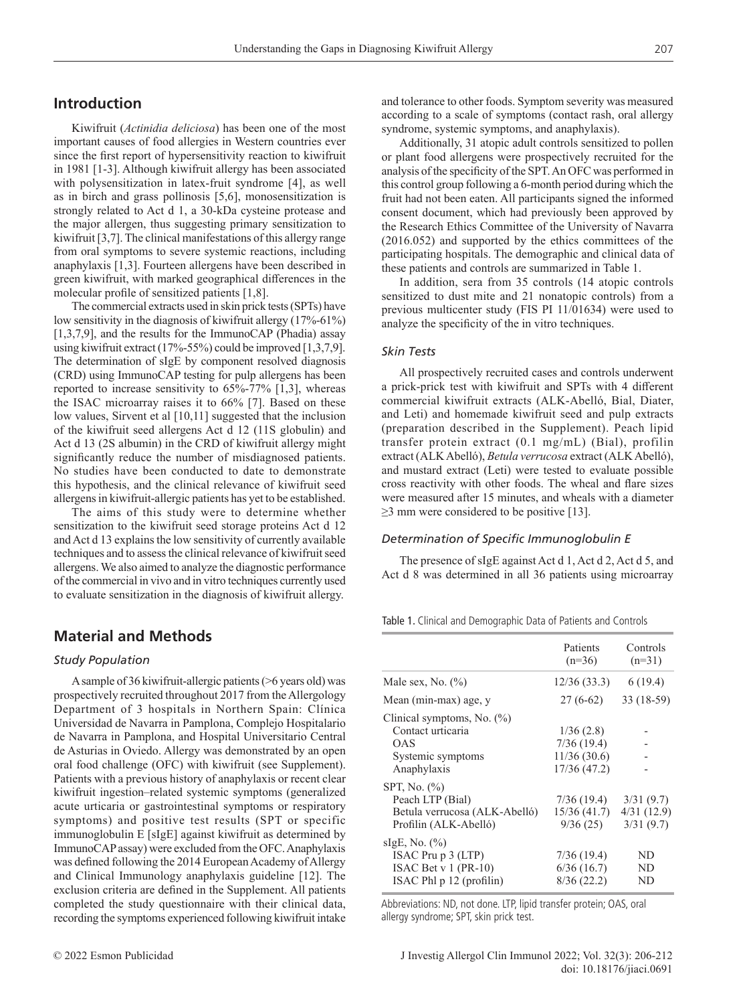# **Introduction**

Kiwifruit (*Actinidia deliciosa*) has been one of the most important causes of food allergies in Western countries ever since the first report of hypersensitivity reaction to kiwifruit in 1981 [1-3]. Although kiwifruit allergy has been associated with polysensitization in latex-fruit syndrome [4], as well as in birch and grass pollinosis [5,6], monosensitization is strongly related to Act d 1, a 30-kDa cysteine protease and the major allergen, thus suggesting primary sensitization to kiwifruit [3,7]. The clinical manifestations of this allergy range from oral symptoms to severe systemic reactions, including anaphylaxis [1,3]. Fourteen allergens have been described in green kiwifruit, with marked geographical differences in the molecular profile of sensitized patients [1,8].

The commercial extracts used in skin prick tests (SPTs) have low sensitivity in the diagnosis of kiwifruit allergy (17%-61%) [1,3,7,9], and the results for the ImmunoCAP (Phadia) assay using kiwifruit extract (17%-55%) could be improved [1,3,7,9]. The determination of sIgE by component resolved diagnosis (CRD) using ImmunoCAP testing for pulp allergens has been reported to increase sensitivity to 65%-77% [1,3], whereas the ISAC microarray raises it to 66% [7]. Based on these low values, Sirvent et al [10,11] suggested that the inclusion of the kiwifruit seed allergens Act d 12 (11S globulin) and Act d 13 (2S albumin) in the CRD of kiwifruit allergy might significantly reduce the number of misdiagnosed patients. No studies have been conducted to date to demonstrate this hypothesis, and the clinical relevance of kiwifruit seed allergens in kiwifruit-allergic patients has yet to be established.

The aims of this study were to determine whether sensitization to the kiwifruit seed storage proteins Act d 12 and Act d 13 explains the low sensitivity of currently available techniques and to assess the clinical relevance of kiwifruit seed allergens. We also aimed to analyze the diagnostic performance of the commercial in vivo and in vitro techniques currently used to evaluate sensitization in the diagnosis of kiwifruit allergy.

# **Material and Methods**

## *Study Population*

A sample of 36 kiwifruit-allergic patients (>6 years old) was prospectively recruited throughout 2017 from the Allergology Department of 3 hospitals in Northern Spain: Clínica Universidad de Navarra in Pamplona, Complejo Hospitalario de Navarra in Pamplona, and Hospital Universitario Central de Asturias in Oviedo. Allergy was demonstrated by an open oral food challenge (OFC) with kiwifruit (see Supplement). Patients with a previous history of anaphylaxis or recent clear kiwifruit ingestion–related systemic symptoms (generalized acute urticaria or gastrointestinal symptoms or respiratory symptoms) and positive test results (SPT or specific immunoglobulin E [sIgE] against kiwifruit as determined by ImmunoCAP assay) were excluded from the OFC. Anaphylaxis was defined following the 2014 European Academy of Allergy and Clinical Immunology anaphylaxis guideline [12]. The exclusion criteria are defined in the Supplement. All patients completed the study questionnaire with their clinical data, recording the symptoms experienced following kiwifruit intake

Additionally, 31 atopic adult controls sensitized to pollen or plant food allergens were prospectively recruited for the analysis of the specificity of the SPT. An OFC was performed in this control group following a 6-month period during which the fruit had not been eaten. All participants signed the informed consent document, which had previously been approved by the Research Ethics Committee of the University of Navarra (2016.052) and supported by the ethics committees of the participating hospitals. The demographic and clinical data of these patients and controls are summarized in Table 1.

In addition, sera from 35 controls (14 atopic controls sensitized to dust mite and 21 nonatopic controls) from a previous multicenter study (FIS PI 11/01634) were used to analyze the specificity of the in vitro techniques.

## *Skin Tests*

All prospectively recruited cases and controls underwent a prick-prick test with kiwifruit and SPTs with 4 different commercial kiwifruit extracts (ALK-Abelló, Bial, Diater, and Leti) and homemade kiwifruit seed and pulp extracts (preparation described in the Supplement). Peach lipid transfer protein extract (0.1 mg/mL) (Bial), profilin extract (ALKAbelló), *Betula verrucosa* extract (ALK Abelló), and mustard extract (Leti) were tested to evaluate possible cross reactivity with other foods. The wheal and flare sizes were measured after 15 minutes, and wheals with a diameter  $\geq$ 3 mm were considered to be positive [13].

## *Determination of Specific Immunoglobulin E*

The presence of sIgE against Act d 1, Act d 2, Act d 5, and Act d 8 was determined in all 36 patients using microarray

Table 1. Clinical and Demographic Data of Patients and Controls

|                                                                                                 | Patients<br>$(n=36)$                                   | Controls<br>$(n=31)$                 |
|-------------------------------------------------------------------------------------------------|--------------------------------------------------------|--------------------------------------|
| Male sex, No. $(\%)$                                                                            | 12/36(33.3)                                            | 6(19.4)                              |
| Mean (min-max) age, y                                                                           | $27(6-62)$                                             | $33(18-59)$                          |
| Clinical symptoms, No. $(\%)$<br>Contact urticaria<br>OAS<br>Systemic symptoms<br>Anaphylaxis   | 1/36(2.8)<br>7/36(19.4)<br>11/36(30.6)<br>17/36 (47.2) |                                      |
| SPT, No. (%)<br>Peach LTP (Bial)<br>Betula verrucosa (ALK-Abelló)<br>Profilin (ALK-Abelló)      | 7/36(19.4)<br>15/36 (41.7)<br>9/36(25)                 | 3/31(9.7)<br>4/31(12.9)<br>3/31(9.7) |
| sIgE, No. $(\% )$<br>ISAC Pru p 3 (LTP)<br>ISAC Bet $v$ 1 (PR-10)<br>ISAC Phl $p 12$ (profilin) | 7/36(19.4)<br>6/36(16.7)<br>8/36(22.2)                 | ND<br>ND<br>ND                       |

Abbreviations: ND, not done. LTP, lipid transfer protein; OAS, oral allergy syndrome; SPT, skin prick test.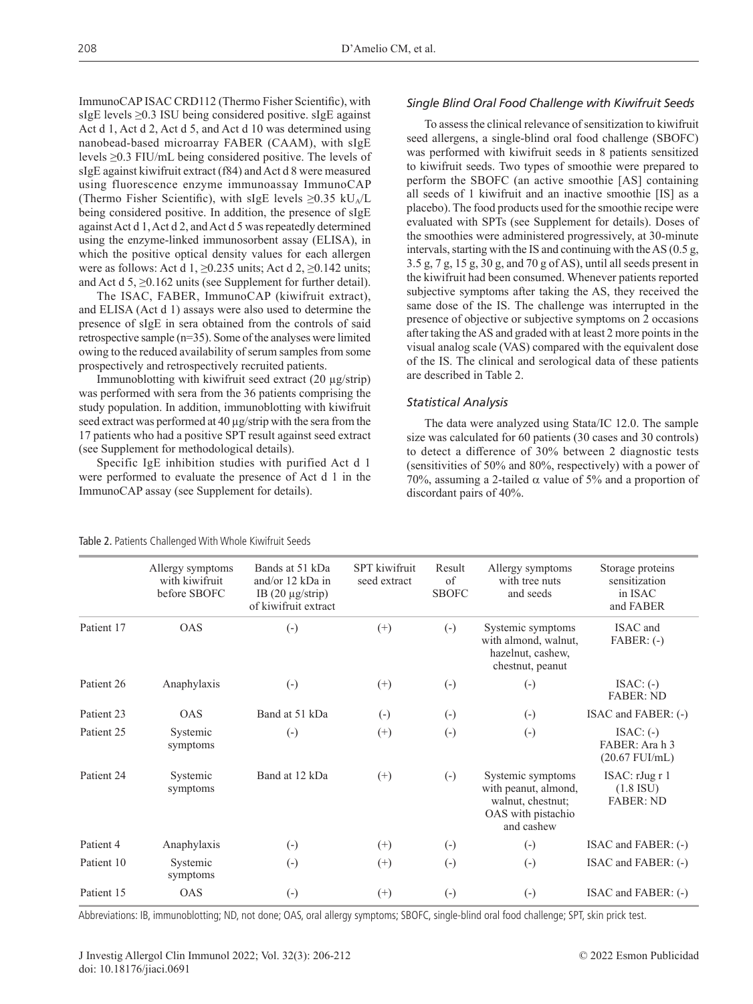ImmunoCAP ISAC CRD112 (Thermo Fisher Scientific), with sIgE levels  $\geq$ 0.3 ISU being considered positive. sIgE against Act d 1, Act d 2, Act d 5, and Act d 10 was determined using nanobead-based microarray FABER (CAAM), with sIgE levels ≥0.3 FIU/mL being considered positive. The levels of sIgE against kiwifruit extract (f84) and Act d 8 were measured using fluorescence enzyme immunoassay ImmunoCAP (Thermo Fisher Scientific), with sIgE levels  $\geq 0.35$  kU<sub>A</sub>/L being considered positive. In addition, the presence of sIgE against Act d 1, Act d 2, and Act d 5 was repeatedly determined using the enzyme-linked immunosorbent assay (ELISA), in which the positive optical density values for each allergen were as follows: Act d 1,  $\geq$ 0.235 units; Act d 2,  $\geq$ 0.142 units; and Act d 5, ≥0.162 units (see Supplement for further detail).

The ISAC, FABER, ImmunoCAP (kiwifruit extract), and ELISA (Act d 1) assays were also used to determine the presence of sIgE in sera obtained from the controls of said retrospective sample (n=35). Some of the analyses were limited owing to the reduced availability of serum samples from some prospectively and retrospectively recruited patients.

Immunoblotting with kiwifruit seed extract (20 µg/strip) was performed with sera from the 36 patients comprising the study population. In addition, immunoblotting with kiwifruit seed extract was performed at 40 µg/strip with the sera from the 17 patients who had a positive SPT result against seed extract (see Supplement for methodological details).

Specific IgE inhibition studies with purified Act d 1 were performed to evaluate the presence of Act d 1 in the ImmunoCAP assay (see Supplement for details).

# *Single Blind Oral Food Challenge with Kiwifruit Seeds*

To assess the clinical relevance of sensitization to kiwifruit seed allergens, a single-blind oral food challenge (SBOFC) was performed with kiwifruit seeds in 8 patients sensitized to kiwifruit seeds. Two types of smoothie were prepared to perform the SBOFC (an active smoothie [AS] containing all seeds of 1 kiwifruit and an inactive smoothie [IS] as a placebo). The food products used for the smoothie recipe were evaluated with SPTs (see Supplement for details). Doses of the smoothies were administered progressively, at 30-minute intervals, starting with the IS and continuing with the AS (0.5 g, 3.5 g, 7 g, 15 g, 30 g, and 70 g of AS), until all seeds present in the kiwifruit had been consumed. Whenever patients reported subjective symptoms after taking the AS, they received the same dose of the IS. The challenge was interrupted in the presence of objective or subjective symptoms on 2 occasions after taking the AS and graded with at least 2 more points in the visual analog scale (VAS) compared with the equivalent dose of the IS. The clinical and serological data of these patients are described in Table 2.

## *Statistical Analysis*

The data were analyzed using Stata/IC 12.0. The sample size was calculated for 60 patients (30 cases and 30 controls) to detect a difference of 30% between 2 diagnostic tests (sensitivities of 50% and 80%, respectively) with a power of 70%, assuming a 2-tailed  $\alpha$  value of 5% and a proportion of discordant pairs of 40%.

|            | Allergy symptoms<br>with kiwifruit<br>before SBOFC | Bands at 51 kDa<br>and/or 12 kDa in<br>IB $(20 \mu g/\text{strip})$<br>of kiwifruit extract | <b>SPT</b> kiwifruit<br>seed extract | Result<br>of<br><b>SBOFC</b> | Allergy symptoms<br>with tree nuts<br>and seeds                                                    | Storage proteins<br>sensitization<br>in ISAC<br>and FABER |
|------------|----------------------------------------------------|---------------------------------------------------------------------------------------------|--------------------------------------|------------------------------|----------------------------------------------------------------------------------------------------|-----------------------------------------------------------|
| Patient 17 | <b>OAS</b>                                         | $\left( -\right)$                                                                           | $^{(+)}$                             | $(-)$                        | Systemic symptoms<br>with almond, walnut,<br>hazelnut, cashew,<br>chestnut, peanut                 | ISAC and<br>$FABER: (-)$                                  |
| Patient 26 | Anaphylaxis                                        | $\left( -\right)$                                                                           | $^{(+)}$                             | $\left( -\right)$            | $\left( -\right)$                                                                                  | $ISAC: (-)$<br><b>FABER: ND</b>                           |
| Patient 23 | <b>OAS</b>                                         | Band at 51 kDa                                                                              | $\left( -\right)$                    | $(-)$                        | $(-)$                                                                                              | ISAC and FABER: (-)                                       |
| Patient 25 | Systemic<br>symptoms                               | $(-)$                                                                                       | $(+)$                                | $(-)$                        | $(-)$                                                                                              | $ISAC: (-)$<br>FABER: Ara h 3<br>$(20.67$ FUI/mL)         |
| Patient 24 | Systemic<br>symptoms                               | Band at 12 kDa                                                                              | $(+)$                                | $(-)$                        | Systemic symptoms<br>with peanut, almond,<br>walnut, chestnut;<br>OAS with pistachio<br>and cashew | ISAC: rJugr1<br>$(1.8$ ISU)<br><b>FABER: ND</b>           |
| Patient 4  | Anaphylaxis                                        | $\left( -\right)$                                                                           | $^{(+)}$                             | $\left( -\right)$            | $\left( -\right)$                                                                                  | ISAC and FABER: (-)                                       |
| Patient 10 | Systemic<br>symptoms                               | $\left( -\right)$                                                                           | $^{(+)}$                             | $\left( -\right)$            | $(-)$                                                                                              | ISAC and FABER: (-)                                       |
| Patient 15 | <b>OAS</b>                                         | $\left( -\right)$                                                                           | $(+)$                                | $\left( -\right)$            | $\left( -\right)$                                                                                  | ISAC and FABER: (-)                                       |

Abbreviations: IB, immunoblotting; ND, not done; OAS, oral allergy symptoms; SBOFC, single-blind oral food challenge; SPT, skin prick test.

Table 2. Patients Challenged With Whole Kiwifruit Seeds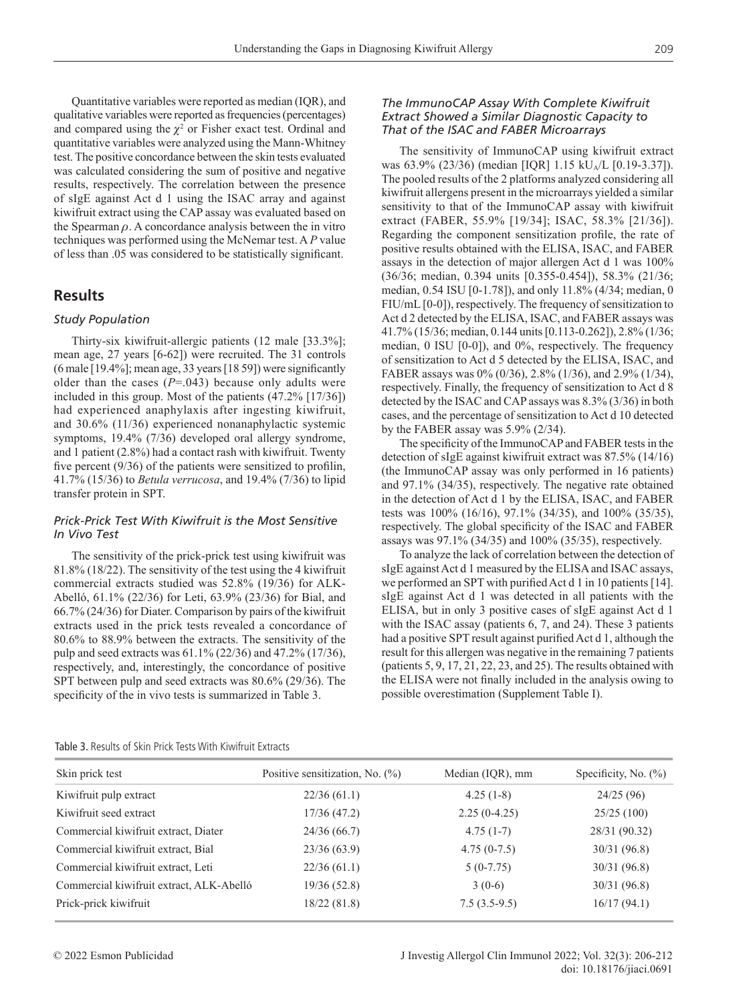Quantitative variables were reported as median (IQR), and qualitative variables were reported as frequencies (percentages) and compared using the  $\chi^2$  or Fisher exact test. Ordinal and quantitative variables were analyzed using the Mann-Whitney test. The positive concordance between the skin tests evaluated was calculated considering the sum of positive and negative results, respectively. The correlation between the presence of sIgE against Act d 1 using the ISAC array and against kiwifruit extract using the CAP assay was evaluated based on the Spearman  $\rho$ . A concordance analysis between the in vitro techniques was performed using the McNemar test. A *P* value of less than .05 was considered to be statistically significant.

# **Results**

## *Study Population*

Thirty-six kiwifruit-allergic patients (12 male [33.3%]; mean age, 27 years [6-62]) were recruited. The 31 controls (6 male [19.4%]; mean age, 33 years [18 59]) were significantly older than the cases  $(P=.043)$  because only adults were included in this group. Most of the patients (47.2% [17/36]) had experienced anaphylaxis after ingesting kiwifruit, and 30.6% (11/36) experienced nonanaphylactic systemic symptoms, 19.4% (7/36) developed oral allergy syndrome, and 1 patient (2.8%) had a contact rash with kiwifruit. Twenty five percent (9/36) of the patients were sensitized to profilin, 41.7% (15/36) to *Betula verrucosa*, and 19.4% (7/36) to lipid transfer protein in SPT.

## *Prick-Prick Test With Kiwifruit is the Most Sensitive In Vivo Test*

The sensitivity of the prick-prick test using kiwifruit was 81.8% (18/22). The sensitivity of the test using the 4 kiwifruit commercial extracts studied was 52.8% (19/36) for ALK-Abelló, 61.1% (22/36) for Leti, 63.9% (23/36) for Bial, and 66.7% (24/36) for Diater. Comparison by pairs of the kiwifruit extracts used in the prick tests revealed a concordance of 80.6% to 88.9% between the extracts. The sensitivity of the pulp and seed extracts was 61.1% (22/36) and 47.2% (17/36), respectively, and, interestingly, the concordance of positive SPT between pulp and seed extracts was 80.6% (29/36). The specificity of the in vivo tests is summarized in Table 3.

## *The ImmunoCAP Assay With Complete Kiwifruit Extract Showed a Similar Diagnostic Capacity to That of the ISAC and FABER Microarrays*

The sensitivity of ImmunoCAP using kiwifruit extract was 63.9% (23/36) (median [IQR] 1.15 kU<sub>A</sub>/L [0.19-3.37]). The pooled results of the 2 platforms analyzed considering all kiwifruit allergens present in the microarrays yielded a similar sensitivity to that of the ImmunoCAP assay with kiwifruit extract (FABER, 55.9% [19/34]; ISAC, 58.3% [21/36]). Regarding the component sensitization profile, the rate of positive results obtained with the ELISA, ISAC, and FABER assays in the detection of major allergen Act d 1 was 100% (36/36; median, 0.394 units [0.355-0.454]), 58.3% (21/36; median, 0.54 ISU [0-1.78]), and only 11.8% (4/34; median, 0 FIU/mL [0-0]), respectively. The frequency of sensitization to Act d 2 detected by the ELISA, ISAC, and FABER assays was 41.7% (15/36; median, 0.144 units [0.113-0.262]), 2.8% (1/36; median, 0 ISU [0-0]), and 0%, respectively. The frequency of sensitization to Act d 5 detected by the ELISA, ISAC, and FABER assays was 0% (0/36), 2.8% (1/36), and 2.9% (1/34), respectively. Finally, the frequency of sensitization to Act d 8 detected by the ISAC and CAP assays was 8.3% (3/36) in both cases, and the percentage of sensitization to Act d 10 detected by the FABER assay was 5.9% (2/34).

The specificity of the ImmunoCAP and FABER tests in the detection of sIgE against kiwifruit extract was 87.5% (14/16) (the ImmunoCAP assay was only performed in 16 patients) and 97.1% (34/35), respectively. The negative rate obtained in the detection of Act d 1 by the ELISA, ISAC, and FABER tests was 100% (16/16), 97.1% (34/35), and 100% (35/35), respectively. The global specificity of the ISAC and FABER assays was 97.1% (34/35) and 100% (35/35), respectively.

To analyze the lack of correlation between the detection of sIgE against Act d 1 measured by the ELISA and ISAC assays, we performed an SPT with purified Act d 1 in 10 patients [14]. sIgE against Act d 1 was detected in all patients with the ELISA, but in only 3 positive cases of sIgE against Act d 1 with the ISAC assay (patients 6, 7, and 24). These 3 patients had a positive SPT result against purified Act d 1, although the result for this allergen was negative in the remaining 7 patients (patients 5, 9, 17, 21, 22, 23, and 25). The results obtained with the ELISA were not finally included in the analysis owing to possible overestimation (Supplement Table I).

| Table 3. Results of Skin Prick Tests With Kiwifruit Extracts |  |
|--------------------------------------------------------------|--|
|--------------------------------------------------------------|--|

| Skin prick test                          | Positive sensitization, No. $(\%)$ | Median (IQR), mm | Specificity, No. $(\%)$ |
|------------------------------------------|------------------------------------|------------------|-------------------------|
| Kiwifruit pulp extract                   | 22/36(61.1)                        | $4.25(1-8)$      | 24/25(96)               |
| Kiwifruit seed extract                   | 17/36(47.2)                        | $2.25(0-4.25)$   | 25/25(100)              |
| Commercial kiwifruit extract, Diater     | 24/36(66.7)                        | $4.75(1-7)$      | 28/31 (90.32)           |
| Commercial kiwifruit extract, Bial       | 23/36(63.9)                        | $4.75(0-7.5)$    | 30/31(96.8)             |
| Commercial kiwifruit extract, Leti       | 22/36(61.1)                        | $5(0-7.75)$      | 30/31 (96.8)            |
| Commercial kiwifruit extract, ALK-Abelló | 19/36(52.8)                        | $3(0-6)$         | 30/31(96.8)             |
| Prick-prick kiwifruit                    | 18/22(81.8)                        | $7.5(3.5-9.5)$   | 16/17(94.1)             |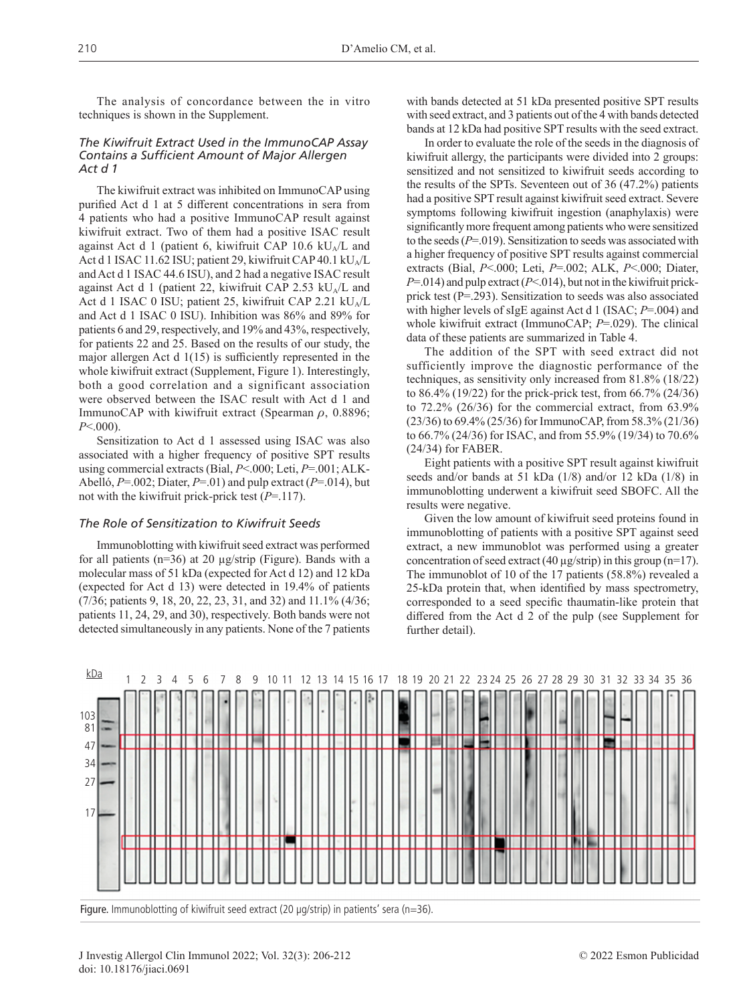The analysis of concordance between the in vitro techniques is shown in the Supplement.

## *The Kiwifruit Extract Used in the ImmunoCAP Assay Contains a Sufficient Amount of Major Allergen Act d 1*

The kiwifruit extract was inhibited on ImmunoCAP using purified Act d 1 at 5 different concentrations in sera from 4 patients who had a positive ImmunoCAP result against kiwifruit extract. Two of them had a positive ISAC result against Act d 1 (patient 6, kiwifruit CAP 10.6 kU<sub>A</sub>/L and Act d 1 ISAC 11.62 ISU; patient 29, kiwifruit CAP 40.1 kU<sub>A</sub>/L and Act d 1 ISAC 44.6 ISU), and 2 had a negative ISAC result against Act d 1 (patient 22, kiwifruit CAP 2.53 kU<sub>A</sub>/L and Act d 1 ISAC 0 ISU; patient 25, kiwifruit CAP 2.21  $kU_A/L$ and Act d 1 ISAC 0 ISU). Inhibition was 86% and 89% for patients 6 and 29, respectively, and 19% and 43%, respectively, for patients 22 and 25. Based on the results of our study, the major allergen Act d 1(15) is sufficiently represented in the whole kiwifruit extract (Supplement, Figure 1). Interestingly, both a good correlation and a significant association were observed between the ISAC result with Act d 1 and ImmunoCAP with kiwifruit extract (Spearman  $\rho$ , 0.8896; *P*<.000).

Sensitization to Act d 1 assessed using ISAC was also associated with a higher frequency of positive SPT results using commercial extracts (Bial, *P*<.000; Leti, *P*=.001; ALK-Abelló, *P*=.002; Diater, *P*=.01) and pulp extract (*P*=.014), but not with the kiwifruit prick-prick test (*P*=.117).

#### *The Role of Sensitization to Kiwifruit Seeds*

Immunoblotting with kiwifruit seed extract was performed for all patients ( $n=36$ ) at 20  $\mu$ g/strip (Figure). Bands with a molecular mass of 51 kDa (expected for Act d 12) and 12 kDa (expected for Act d 13) were detected in 19.4% of patients (7/36; patients 9, 18, 20, 22, 23, 31, and 32) and 11.1% (4/36; patients 11, 24, 29, and 30), respectively. Both bands were not detected simultaneously in any patients. None of the 7 patients

with bands detected at 51 kDa presented positive SPT results with seed extract, and 3 patients out of the 4 with bands detected bands at 12 kDa had positive SPT results with the seed extract.

In order to evaluate the role of the seeds in the diagnosis of kiwifruit allergy, the participants were divided into 2 groups: sensitized and not sensitized to kiwifruit seeds according to the results of the SPTs. Seventeen out of 36 (47.2%) patients had a positive SPT result against kiwifruit seed extract. Severe symptoms following kiwifruit ingestion (anaphylaxis) were significantly more frequent among patients who were sensitized to the seeds (*P*=.019). Sensitization to seeds was associated with a higher frequency of positive SPT results against commercial extracts (Bial, *P*<.000; Leti, *P*=.002; ALK, *P*<.000; Diater, *P*=.014) and pulp extract (*P*<.014), but not in the kiwifruit prickprick test (P=.293). Sensitization to seeds was also associated with higher levels of sIgE against Act d 1 (ISAC; *P*=.004) and whole kiwifruit extract (ImmunoCAP; *P*=.029). The clinical data of these patients are summarized in Table 4.

The addition of the SPT with seed extract did not sufficiently improve the diagnostic performance of the techniques, as sensitivity only increased from 81.8% (18/22) to 86.4% (19/22) for the prick-prick test, from 66.7% (24/36) to 72.2% (26/36) for the commercial extract, from 63.9% (23/36) to 69.4% (25/36) for ImmunoCAP, from 58.3% (21/36) to 66.7% (24/36) for ISAC, and from 55.9% (19/34) to 70.6% (24/34) for FABER.

Eight patients with a positive SPT result against kiwifruit seeds and/or bands at 51 kDa (1/8) and/or 12 kDa (1/8) in immunoblotting underwent a kiwifruit seed SBOFC. All the results were negative.

Given the low amount of kiwifruit seed proteins found in immunoblotting of patients with a positive SPT against seed extract, a new immunoblot was performed using a greater concentration of seed extract (40  $\mu$ g/strip) in this group (n=17). The immunoblot of 10 of the 17 patients (58.8%) revealed a 25-kDa protein that, when identified by mass spectrometry, corresponded to a seed specific thaumatin-like protein that differed from the Act d 2 of the pulp (see Supplement for further detail).



Figure. Immunoblotting of kiwifruit seed extract (20 µg/strip) in patients' sera (n=36).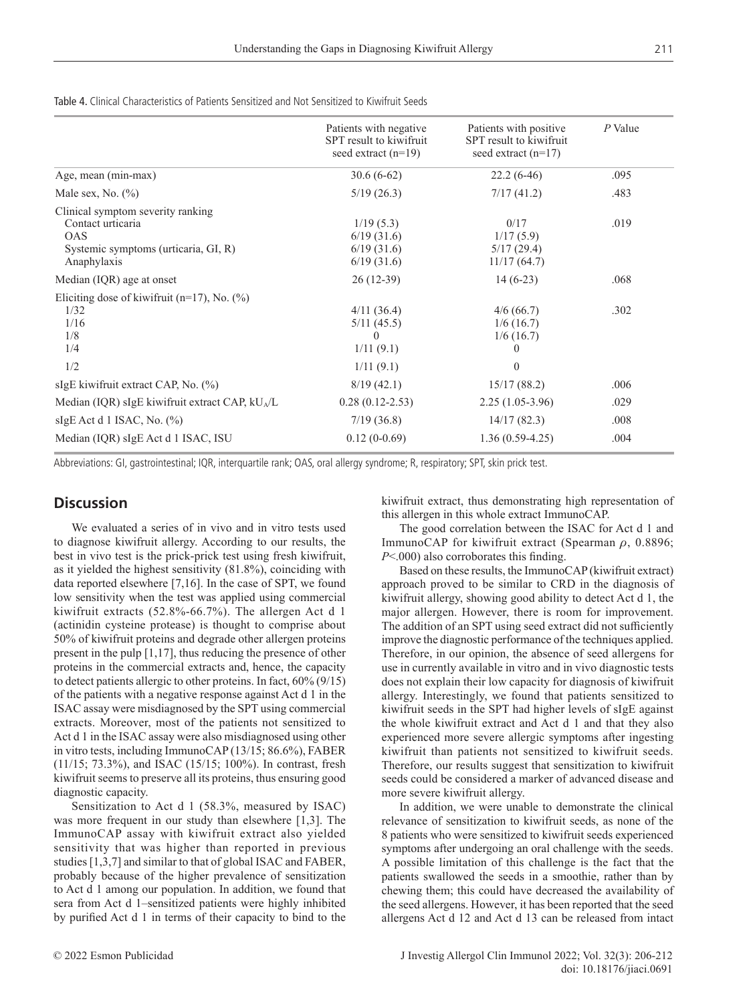Table 4. Clinical Characteristics of Patients Sensitized and Not Sensitized to Kiwifruit Seeds

|                                                                                                                             | Patients with negative<br>SPT result to kiwifruit<br>seed extract $(n=19)$ | Patients with positive<br>SPT result to kiwifruit<br>seed extract $(n=17)$ | $P$ Value |
|-----------------------------------------------------------------------------------------------------------------------------|----------------------------------------------------------------------------|----------------------------------------------------------------------------|-----------|
| Age, mean (min-max)                                                                                                         | $30.6(6-62)$                                                               | $22.2(6-46)$                                                               | .095      |
| Male sex, No. $(\% )$                                                                                                       | 5/19(26.3)                                                                 | 7/17(41.2)                                                                 | .483      |
| Clinical symptom severity ranking<br>Contact urticaria<br><b>OAS</b><br>Systemic symptoms (urticaria, GI, R)<br>Anaphylaxis | 1/19(5.3)<br>6/19(31.6)<br>6/19(31.6)<br>6/19(31.6)                        | 0/17<br>1/17(5.9)<br>5/17(29.4)<br>11/17(64.7)                             | .019      |
| Median (IQR) age at onset                                                                                                   | $26(12-39)$                                                                | $14(6-23)$                                                                 | .068      |
| Eliciting dose of kiwifruit $(n=17)$ , No. $(\%)$<br>1/32<br>1/16<br>1/8<br>1/4                                             | 4/11(36.4)<br>5/11(45.5)<br>$\left( \right)$<br>1/11(9.1)                  | 4/6(66.7)<br>1/6(16.7)<br>1/6(16.7)<br>$\theta$                            | .302      |
| 1/2                                                                                                                         | 1/11(9.1)                                                                  | $\mathbf{0}$                                                               |           |
| sIgE kiwifruit extract CAP, No. $(\%)$                                                                                      | 8/19(42.1)                                                                 | 15/17(88.2)                                                                | .006      |
| Median (IQR) sIgE kiwifruit extract CAP, kU <sub>A</sub> /L                                                                 | $0.28(0.12-2.53)$                                                          | $2.25(1.05-3.96)$                                                          | .029      |
| sIgE Act d 1 ISAC, No. $(\% )$                                                                                              | 7/19(36.8)                                                                 | 14/17(82.3)                                                                | .008      |
| Median (IQR) sIgE Act d 1 ISAC, ISU                                                                                         | $0.12(0-0.69)$                                                             | $1.36(0.59-4.25)$                                                          | .004      |

Abbreviations: GI, gastrointestinal; IQR, interquartile rank; OAS, oral allergy syndrome; R, respiratory; SPT, skin prick test.

# **Discussion**

We evaluated a series of in vivo and in vitro tests used to diagnose kiwifruit allergy. According to our results, the best in vivo test is the prick-prick test using fresh kiwifruit, as it yielded the highest sensitivity (81.8%), coinciding with data reported elsewhere [7,16]. In the case of SPT, we found low sensitivity when the test was applied using commercial kiwifruit extracts (52.8%-66.7%). The allergen Act d 1 (actinidin cysteine protease) is thought to comprise about 50% of kiwifruit proteins and degrade other allergen proteins present in the pulp [1,17], thus reducing the presence of other proteins in the commercial extracts and, hence, the capacity to detect patients allergic to other proteins. In fact, 60% (9/15) of the patients with a negative response against Act d 1 in the ISAC assay were misdiagnosed by the SPT using commercial extracts. Moreover, most of the patients not sensitized to Act d 1 in the ISAC assay were also misdiagnosed using other in vitro tests, including ImmunoCAP (13/15; 86.6%), FABER (11/15; 73.3%), and ISAC (15/15; 100%). In contrast, fresh kiwifruit seems to preserve all its proteins, thus ensuring good diagnostic capacity.

Sensitization to Act d 1 (58.3%, measured by ISAC) was more frequent in our study than elsewhere [1,3]. The ImmunoCAP assay with kiwifruit extract also yielded sensitivity that was higher than reported in previous studies[1,3,7] and similar to that of global ISAC and FABER, probably because of the higher prevalence of sensitization to Act d 1 among our population. In addition, we found that sera from Act d 1–sensitized patients were highly inhibited by purified Act d 1 in terms of their capacity to bind to the

kiwifruit extract, thus demonstrating high representation of this allergen in this whole extract ImmunoCAP.

The good correlation between the ISAC for Act d 1 and ImmunoCAP for kiwifruit extract (Spearman  $\rho$ , 0.8896; *P*<.000) also corroborates this finding.

Based on these results, the ImmunoCAP (kiwifruit extract) approach proved to be similar to CRD in the diagnosis of kiwifruit allergy, showing good ability to detect Act d 1, the major allergen. However, there is room for improvement. The addition of an SPT using seed extract did not sufficiently improve the diagnostic performance of the techniques applied. Therefore, in our opinion, the absence of seed allergens for use in currently available in vitro and in vivo diagnostic tests does not explain their low capacity for diagnosis of kiwifruit allergy. Interestingly, we found that patients sensitized to kiwifruit seeds in the SPT had higher levels of sIgE against the whole kiwifruit extract and Act d 1 and that they also experienced more severe allergic symptoms after ingesting kiwifruit than patients not sensitized to kiwifruit seeds. Therefore, our results suggest that sensitization to kiwifruit seeds could be considered a marker of advanced disease and more severe kiwifruit allergy.

In addition, we were unable to demonstrate the clinical relevance of sensitization to kiwifruit seeds, as none of the 8 patients who were sensitized to kiwifruit seeds experienced symptoms after undergoing an oral challenge with the seeds. A possible limitation of this challenge is the fact that the patients swallowed the seeds in a smoothie, rather than by chewing them; this could have decreased the availability of the seed allergens. However, it has been reported that the seed allergens Act d 12 and Act d 13 can be released from intact